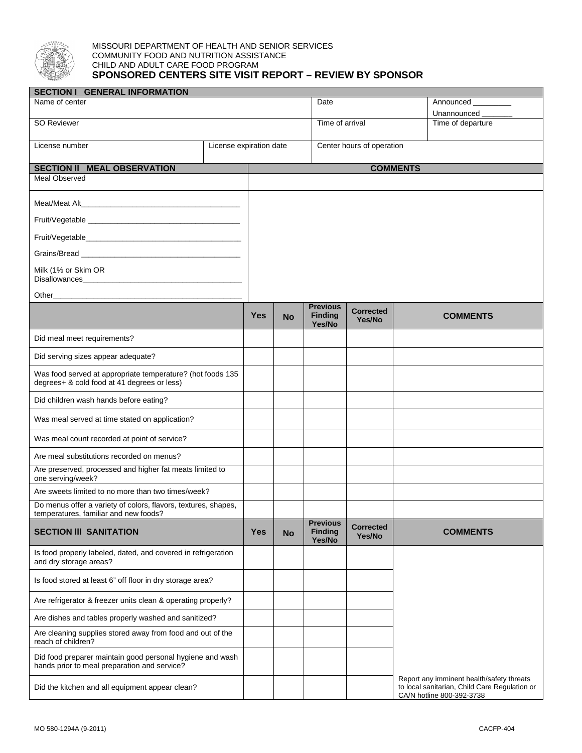

## MISSOURI DEPARTMENT OF HEALTH AND SENIOR SERVICES COMMUNITY FOOD AND NUTRITION ASSISTANCE CHILD AND ADULT CARE FOOD PROGRAM **SPONSORED CENTERS SITE VISIT REPORT – REVIEW BY SPONSOR**

| <b>SECTION I GENERAL INFORMATION</b>                                                                           |  |                 |                           |                                             |                            |                                                                                                                         |  |  |
|----------------------------------------------------------------------------------------------------------------|--|-----------------|---------------------------|---------------------------------------------|----------------------------|-------------------------------------------------------------------------------------------------------------------------|--|--|
| Name of center                                                                                                 |  |                 |                           | Date                                        |                            | Announced                                                                                                               |  |  |
| SO Reviewer                                                                                                    |  |                 | Time of arrival           |                                             |                            | Unannounced<br>Time of departure                                                                                        |  |  |
|                                                                                                                |  |                 |                           |                                             |                            |                                                                                                                         |  |  |
| License expiration date<br>License number                                                                      |  |                 | Center hours of operation |                                             |                            |                                                                                                                         |  |  |
| <b>SECTION II MEAL OBSERVATION</b>                                                                             |  | <b>COMMENTS</b> |                           |                                             |                            |                                                                                                                         |  |  |
| Meal Observed                                                                                                  |  |                 |                           |                                             |                            |                                                                                                                         |  |  |
|                                                                                                                |  |                 |                           |                                             |                            |                                                                                                                         |  |  |
|                                                                                                                |  |                 |                           |                                             |                            |                                                                                                                         |  |  |
|                                                                                                                |  |                 |                           |                                             |                            |                                                                                                                         |  |  |
|                                                                                                                |  |                 |                           |                                             |                            |                                                                                                                         |  |  |
| Milk (1% or Skim OR                                                                                            |  |                 |                           |                                             |                            |                                                                                                                         |  |  |
| Other than the contract of the contract of the contract of the contract of the contract of the contract of the |  |                 |                           |                                             |                            |                                                                                                                         |  |  |
|                                                                                                                |  |                 |                           | <b>Previous</b>                             |                            |                                                                                                                         |  |  |
|                                                                                                                |  | <b>Yes</b>      | <b>No</b>                 | <b>Finding</b><br>Yes/No                    | <b>Corrected</b><br>Yes/No | <b>COMMENTS</b>                                                                                                         |  |  |
| Did meal meet requirements?                                                                                    |  |                 |                           |                                             |                            |                                                                                                                         |  |  |
| Did serving sizes appear adequate?                                                                             |  |                 |                           |                                             |                            |                                                                                                                         |  |  |
| Was food served at appropriate temperature? (hot foods 135<br>degrees+ & cold food at 41 degrees or less)      |  |                 |                           |                                             |                            |                                                                                                                         |  |  |
| Did children wash hands before eating?                                                                         |  |                 |                           |                                             |                            |                                                                                                                         |  |  |
| Was meal served at time stated on application?                                                                 |  |                 |                           |                                             |                            |                                                                                                                         |  |  |
| Was meal count recorded at point of service?                                                                   |  |                 |                           |                                             |                            |                                                                                                                         |  |  |
| Are meal substitutions recorded on menus?                                                                      |  |                 |                           |                                             |                            |                                                                                                                         |  |  |
| Are preserved, processed and higher fat meats limited to<br>one serving/week?                                  |  |                 |                           |                                             |                            |                                                                                                                         |  |  |
| Are sweets limited to no more than two times/week?                                                             |  |                 |                           |                                             |                            |                                                                                                                         |  |  |
| Do menus offer a variety of colors, flavors, textures, shapes,<br>temperatures, familiar and new foods?        |  |                 |                           |                                             |                            |                                                                                                                         |  |  |
| <b>SECTION III SANITATION</b>                                                                                  |  | <b>Yes</b>      | <b>No</b>                 | <b>Previous</b><br><b>Finding</b><br>Yes/No | <b>Corrected</b><br>Yes/No | <b>COMMENTS</b>                                                                                                         |  |  |
| Is food properly labeled, dated, and covered in refrigeration<br>and dry storage areas?                        |  |                 |                           |                                             |                            |                                                                                                                         |  |  |
| Is food stored at least 6" off floor in dry storage area?                                                      |  |                 |                           |                                             |                            |                                                                                                                         |  |  |
| Are refrigerator & freezer units clean & operating properly?                                                   |  |                 |                           |                                             |                            |                                                                                                                         |  |  |
| Are dishes and tables properly washed and sanitized?                                                           |  |                 |                           |                                             |                            |                                                                                                                         |  |  |
| Are cleaning supplies stored away from food and out of the<br>reach of children?                               |  |                 |                           |                                             |                            |                                                                                                                         |  |  |
| Did food preparer maintain good personal hygiene and wash<br>hands prior to meal preparation and service?      |  |                 |                           |                                             |                            |                                                                                                                         |  |  |
| Did the kitchen and all equipment appear clean?                                                                |  |                 |                           |                                             |                            | Report any imminent health/safety threats<br>to local sanitarian, Child Care Regulation or<br>CA/N hotline 800-392-3738 |  |  |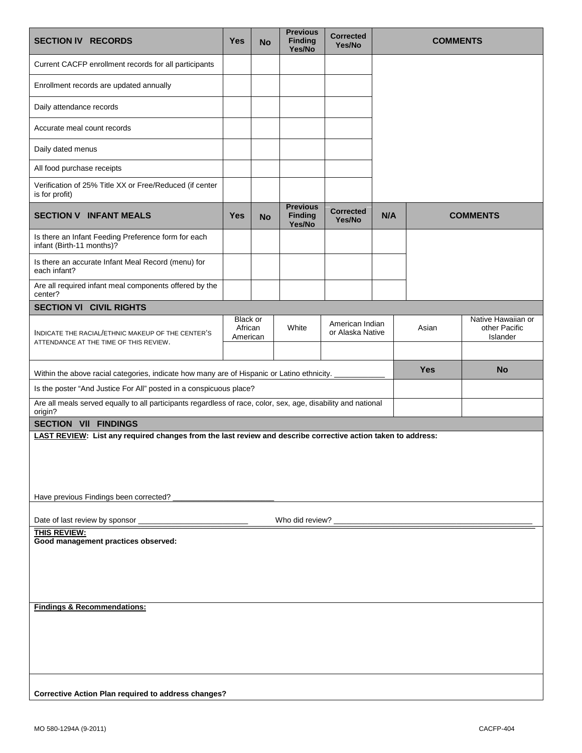| <b>SECTION IV RECORDS</b>                                                                                                                              | <b>Yes</b>                      | <b>No</b> | <b>Previous</b><br><b>Finding</b><br>Yes/No | <b>Corrected</b><br>Yes/No          | <b>COMMENTS</b> |            |                                                 |
|--------------------------------------------------------------------------------------------------------------------------------------------------------|---------------------------------|-----------|---------------------------------------------|-------------------------------------|-----------------|------------|-------------------------------------------------|
| Current CACFP enrollment records for all participants                                                                                                  |                                 |           |                                             |                                     |                 |            |                                                 |
| Enrollment records are updated annually                                                                                                                |                                 |           |                                             |                                     |                 |            |                                                 |
| Daily attendance records                                                                                                                               |                                 |           |                                             |                                     |                 |            |                                                 |
| Accurate meal count records                                                                                                                            |                                 |           |                                             |                                     |                 |            |                                                 |
| Daily dated menus                                                                                                                                      |                                 |           |                                             |                                     |                 |            |                                                 |
| All food purchase receipts                                                                                                                             |                                 |           |                                             |                                     |                 |            |                                                 |
| Verification of 25% Title XX or Free/Reduced (if center<br>is for profit)                                                                              |                                 |           |                                             |                                     |                 |            |                                                 |
| <b>SECTION V INFANT MEALS</b>                                                                                                                          | Yes                             | <b>No</b> | <b>Previous</b><br><b>Finding</b><br>Yes/No | <b>Corrected</b><br>Yes/No          | N/A             |            | <b>COMMENTS</b>                                 |
| Is there an Infant Feeding Preference form for each<br>infant (Birth-11 months)?                                                                       |                                 |           |                                             |                                     |                 |            |                                                 |
| Is there an accurate Infant Meal Record (menu) for<br>each infant?                                                                                     |                                 |           |                                             |                                     |                 |            |                                                 |
| Are all required infant meal components offered by the<br>center?                                                                                      |                                 |           |                                             |                                     |                 |            |                                                 |
| <b>SECTION VI CIVIL RIGHTS</b>                                                                                                                         |                                 |           |                                             |                                     |                 |            |                                                 |
| INDICATE THE RACIAL/ETHNIC MAKEUP OF THE CENTER'S<br>ATTENDANCE AT THE TIME OF THIS REVIEW.                                                            | Black or<br>African<br>American |           | White                                       | American Indian<br>or Alaska Native |                 | Asian      | Native Hawaiian or<br>other Pacific<br>Islander |
| Within the above racial categories, indicate how many are of Hispanic or Latino ethnicity.                                                             |                                 |           |                                             |                                     |                 | <b>Yes</b> | <b>No</b>                                       |
| Is the poster "And Justice For All" posted in a conspicuous place?                                                                                     |                                 |           |                                             |                                     |                 |            |                                                 |
| Are all meals served equally to all participants regardless of race, color, sex, age, disability and national<br>origin?                               |                                 |           |                                             |                                     |                 |            |                                                 |
| <b>SECTION VII FINDINGS</b>                                                                                                                            |                                 |           |                                             |                                     |                 |            |                                                 |
| LAST REVIEW: List any required changes from the last review and describe corrective action taken to address:<br>Have previous Findings been corrected? |                                 |           |                                             |                                     |                 |            |                                                 |
|                                                                                                                                                        |                                 |           |                                             |                                     |                 |            |                                                 |
| Date of last review by sponsor<br>Who did review?<br>THIS REVIEW:                                                                                      |                                 |           |                                             |                                     |                 |            |                                                 |
| Good management practices observed:                                                                                                                    |                                 |           |                                             |                                     |                 |            |                                                 |
|                                                                                                                                                        |                                 |           |                                             |                                     |                 |            |                                                 |
|                                                                                                                                                        |                                 |           |                                             |                                     |                 |            |                                                 |
| <b>Findings &amp; Recommendations:</b>                                                                                                                 |                                 |           |                                             |                                     |                 |            |                                                 |
|                                                                                                                                                        |                                 |           |                                             |                                     |                 |            |                                                 |
|                                                                                                                                                        |                                 |           |                                             |                                     |                 |            |                                                 |
|                                                                                                                                                        |                                 |           |                                             |                                     |                 |            |                                                 |
| <b>Corrective Action Plan required to address changes?</b>                                                                                             |                                 |           |                                             |                                     |                 |            |                                                 |